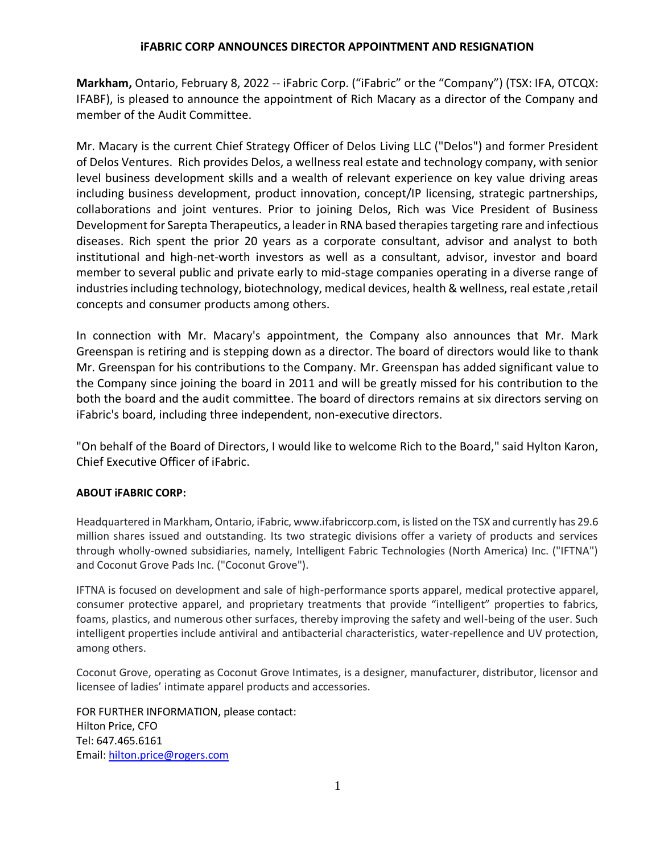## **iFABRIC CORP ANNOUNCES DIRECTOR APPOINTMENT AND RESIGNATION**

**Markham,** Ontario, February 8, 2022 -- iFabric Corp. ("iFabric" or the "Company") (TSX: IFA, OTCQX: IFABF), is pleased to announce the appointment of Rich Macary as a director of the Company and member of the Audit Committee.

Mr. Macary is the current Chief Strategy Officer of Delos Living LLC ("Delos") and former President of Delos Ventures. Rich provides Delos, a wellness real estate and technology company, with senior level business development skills and a wealth of relevant experience on key value driving areas including business development, product innovation, concept/IP licensing, strategic partnerships, collaborations and joint ventures. Prior to joining Delos, Rich was Vice President of Business Development for Sarepta Therapeutics, a leader in RNA based therapies targeting rare and infectious diseases. Rich spent the prior 20 years as a corporate consultant, advisor and analyst to both institutional and high-net-worth investors as well as a consultant, advisor, investor and board member to several public and private early to mid-stage companies operating in a diverse range of industries including technology, biotechnology, medical devices, health & wellness, real estate ,retail concepts and consumer products among others.

In connection with Mr. Macary's appointment, the Company also announces that Mr. Mark Greenspan is retiring and is stepping down as a director. The board of directors would like to thank Mr. Greenspan for his contributions to the Company. Mr. Greenspan has added significant value to the Company since joining the board in 2011 and will be greatly missed for his contribution to the both the board and the audit committee. The board of directors remains at six directors serving on iFabric's board, including three independent, non-executive directors.

"On behalf of the Board of Directors, I would like to welcome Rich to the Board," said Hylton Karon, Chief Executive Officer of iFabric.

## **ABOUT iFABRIC CORP:**

Headquartered in Markham, Ontario, iFabric, www.ifabriccorp.com, is listed on the TSX and currently has 29.6 million shares issued and outstanding. Its two strategic divisions offer a variety of products and services through wholly-owned subsidiaries, namely, Intelligent Fabric Technologies (North America) Inc. ("IFTNA") and Coconut Grove Pads Inc. ("Coconut Grove").

IFTNA is focused on development and sale of high-performance sports apparel, medical protective apparel, consumer protective apparel, and proprietary treatments that provide "intelligent" properties to fabrics, foams, plastics, and numerous other surfaces, thereby improving the safety and well-being of the user. Such intelligent properties include antiviral and antibacterial characteristics, water-repellence and UV protection, among others.

Coconut Grove, operating as Coconut Grove Intimates, is a designer, manufacturer, distributor, licensor and licensee of ladies' intimate apparel products and accessories.

FOR FURTHER INFORMATION, please contact: Hilton Price, CFO Tel: 647.465.6161 Email: [hilton.price@rogers.com](mailto:hilton.price@rogers.com)